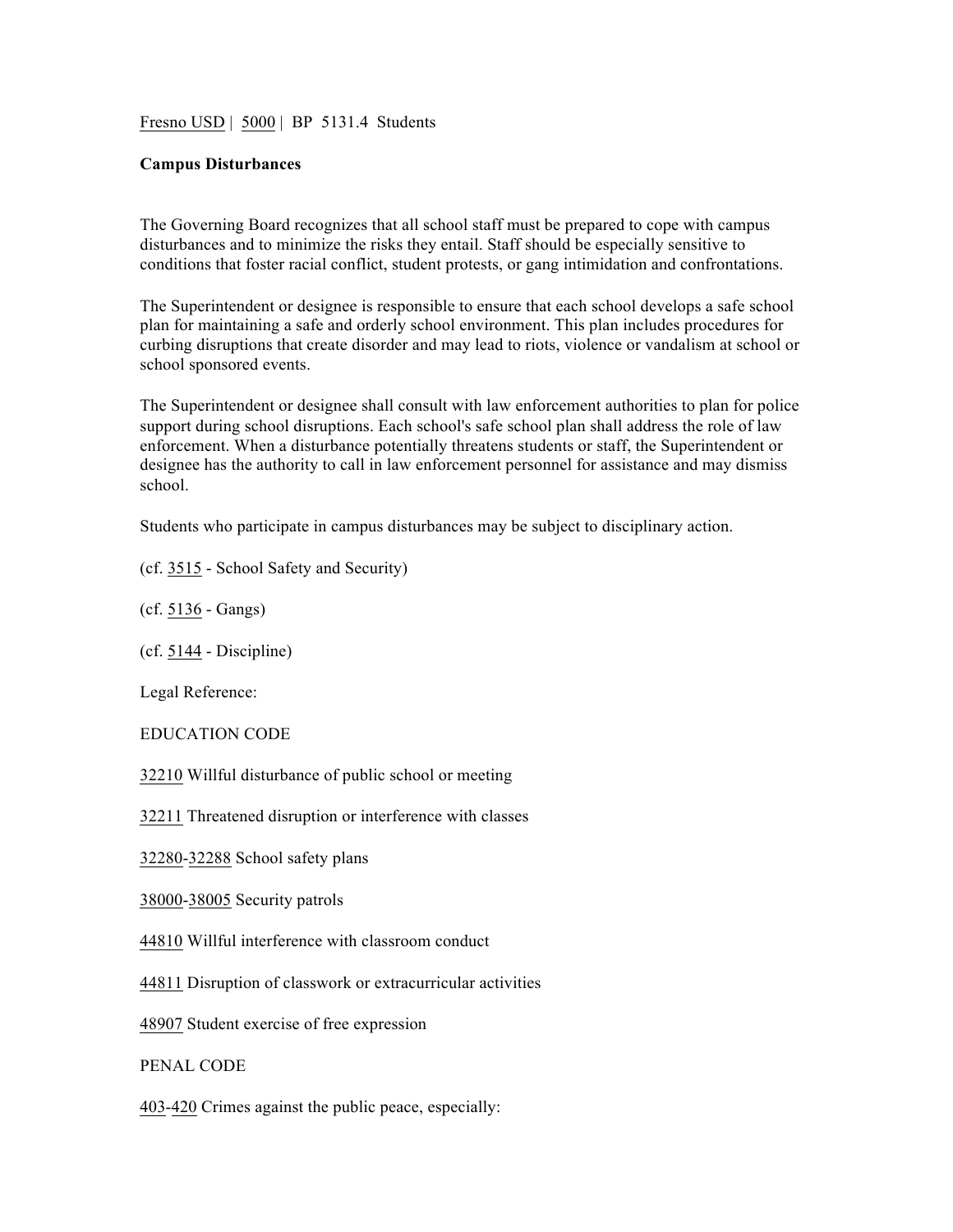Fresno USD | 5000 | BP 5131.4 Students

## **Campus Disturbances**

The Governing Board recognizes that all school staff must be prepared to cope with campus disturbances and to minimize the risks they entail. Staff should be especially sensitive to conditions that foster racial conflict, student protests, or gang intimidation and confrontations.

The Superintendent or designee is responsible to ensure that each school develops a safe school plan for maintaining a safe and orderly school environment. This plan includes procedures for curbing disruptions that create disorder and may lead to riots, violence or vandalism at school or school sponsored events.

The Superintendent or designee shall consult with law enforcement authorities to plan for police support during school disruptions. Each school's safe school plan shall address the role of law enforcement. When a disturbance potentially threatens students or staff, the Superintendent or designee has the authority to call in law enforcement personnel for assistance and may dismiss school.

Students who participate in campus disturbances may be subject to disciplinary action.

(cf. 3515 - School Safety and Security)

(cf. 5136 - Gangs)

(cf. 5144 - Discipline)

Legal Reference:

EDUCATION CODE

32210 Willful disturbance of public school or meeting

32211 Threatened disruption or interference with classes

32280-32288 School safety plans

38000-38005 Security patrols

44810 Willful interference with classroom conduct

44811 Disruption of classwork or extracurricular activities

48907 Student exercise of free expression

PENAL CODE

403-420 Crimes against the public peace, especially: